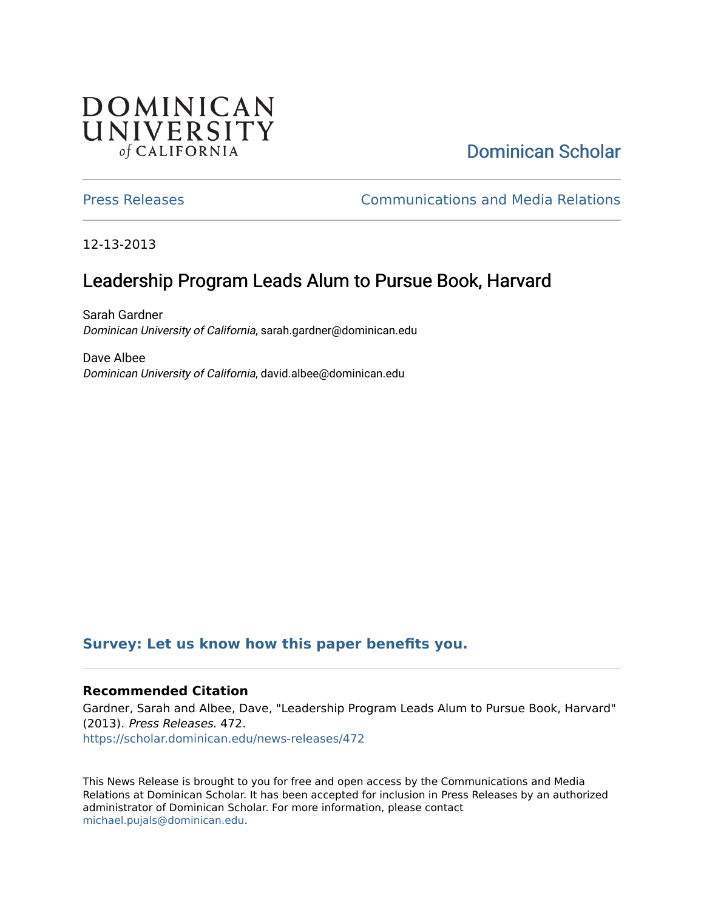## **DOMINICAN** UNIVERSITY of CALIFORNIA

# [Dominican Scholar](https://scholar.dominican.edu/)

[Press Releases](https://scholar.dominican.edu/news-releases) [Communications and Media Relations](https://scholar.dominican.edu/communications-media) 

12-13-2013

# Leadership Program Leads Alum to Pursue Book, Harvard

Sarah Gardner Dominican University of California, sarah.gardner@dominican.edu

Dave Albee Dominican University of California, david.albee@dominican.edu

## **[Survey: Let us know how this paper benefits you.](https://dominican.libwizard.com/dominican-scholar-feedback)**

### **Recommended Citation**

Gardner, Sarah and Albee, Dave, "Leadership Program Leads Alum to Pursue Book, Harvard" (2013). Press Releases. 472. [https://scholar.dominican.edu/news-releases/472](https://scholar.dominican.edu/news-releases/472?utm_source=scholar.dominican.edu%2Fnews-releases%2F472&utm_medium=PDF&utm_campaign=PDFCoverPages)

This News Release is brought to you for free and open access by the Communications and Media Relations at Dominican Scholar. It has been accepted for inclusion in Press Releases by an authorized administrator of Dominican Scholar. For more information, please contact [michael.pujals@dominican.edu.](mailto:michael.pujals@dominican.edu)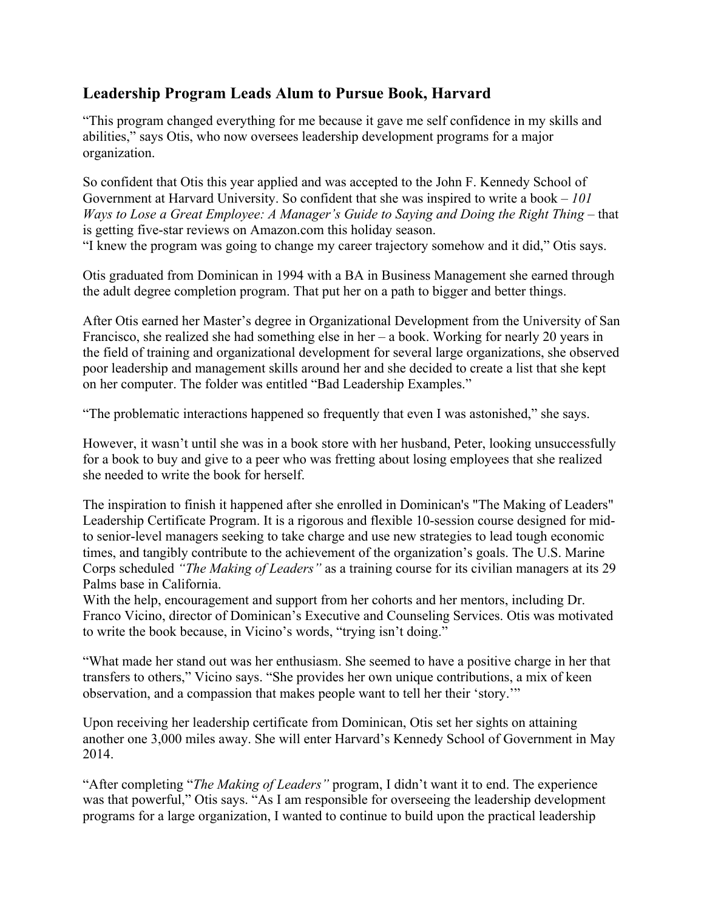## **Leadership Program Leads Alum to Pursue Book, Harvard**

"This program changed everything for me because it gave me self confidence in my skills and abilities," says Otis, who now oversees leadership development programs for a major organization.

So confident that Otis this year applied and was accepted to the John F. Kennedy School of Government at Harvard University. So confident that she was inspired to write a book – *101 Ways to Lose a Great Employee: A Manager's Guide to Saying and Doing the Right Thing* – that is getting five-star reviews on Amazon.com this holiday season.

"I knew the program was going to change my career trajectory somehow and it did," Otis says.

Otis graduated from Dominican in 1994 with a BA in Business Management she earned through the adult degree completion program. That put her on a path to bigger and better things.

After Otis earned her Master's degree in Organizational Development from the University of San Francisco, she realized she had something else in her – a book. Working for nearly 20 years in the field of training and organizational development for several large organizations, she observed poor leadership and management skills around her and she decided to create a list that she kept on her computer. The folder was entitled "Bad Leadership Examples."

"The problematic interactions happened so frequently that even I was astonished," she says.

However, it wasn't until she was in a book store with her husband, Peter, looking unsuccessfully for a book to buy and give to a peer who was fretting about losing employees that she realized she needed to write the book for herself.

The inspiration to finish it happened after she enrolled in Dominican's "The Making of Leaders" Leadership Certificate Program. It is a rigorous and flexible 10-session course designed for midto senior-level managers seeking to take charge and use new strategies to lead tough economic times, and tangibly contribute to the achievement of the organization's goals. The U.S. Marine Corps scheduled *"The Making of Leaders"* as a training course for its civilian managers at its 29 Palms base in California.

With the help, encouragement and support from her cohorts and her mentors, including Dr. Franco Vicino, director of Dominican's Executive and Counseling Services. Otis was motivated to write the book because, in Vicino's words, "trying isn't doing."

"What made her stand out was her enthusiasm. She seemed to have a positive charge in her that transfers to others," Vicino says. "She provides her own unique contributions, a mix of keen observation, and a compassion that makes people want to tell her their 'story.'"

Upon receiving her leadership certificate from Dominican, Otis set her sights on attaining another one 3,000 miles away. She will enter Harvard's Kennedy School of Government in May 2014.

"After completing "*The Making of Leaders"* program, I didn't want it to end. The experience was that powerful," Otis says. "As I am responsible for overseeing the leadership development programs for a large organization, I wanted to continue to build upon the practical leadership